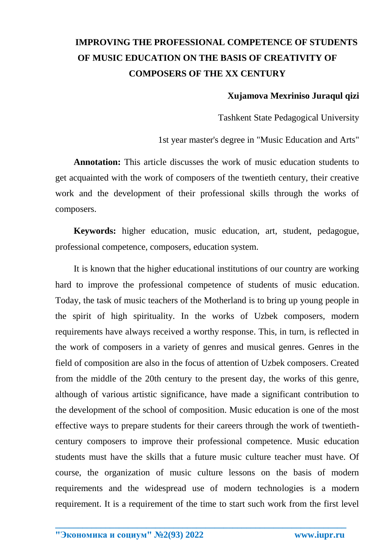## **IMPROVING THE PROFESSIONAL COMPETENCE OF STUDENTS OF MUSIC EDUCATION ON THE BASIS OF CREATIVITY OF COMPOSERS OF THE XX CENTURY**

## **Xujamova Mexriniso Juraqul qizi**

Tashkent State Pedagogical University

1st year master's degree in "Music Education and Arts"

**Annotation:** This article discusses the work of music education students to get acquainted with the work of composers of the twentieth century, their creative work and the development of their professional skills through the works of composers.

**Keywords:** higher education, music education, art, student, pedagogue, professional competence, composers, education system.

It is known that the higher educational institutions of our country are working hard to improve the professional competence of students of music education. Today, the task of music teachers of the Motherland is to bring up young people in the spirit of high spirituality. In the works of Uzbek composers, modern requirements have always received a worthy response. This, in turn, is reflected in the work of composers in a variety of genres and musical genres. Genres in the field of composition are also in the focus of attention of Uzbek composers. Created from the middle of the 20th century to the present day, the works of this genre, although of various artistic significance, have made a significant contribution to the development of the school of composition. Music education is one of the most effective ways to prepare students for their careers through the work of twentiethcentury composers to improve their professional competence. Music education students must have the skills that a future music culture teacher must have. Of course, the organization of music culture lessons on the basis of modern requirements and the widespread use of modern technologies is a modern requirement. It is a requirement of the time to start such work from the first level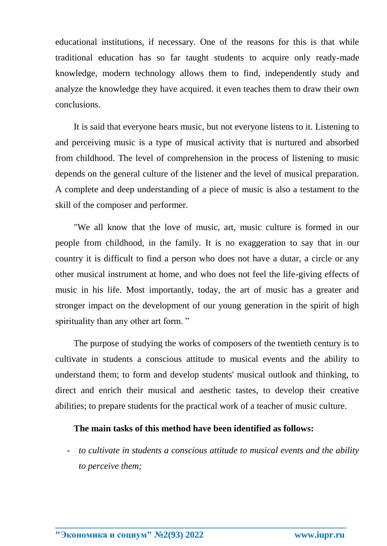educational institutions, if necessary. One of the reasons for this is that while traditional education has so far taught students to acquire only ready-made knowledge, modern technology allows them to find, independently study and analyze the knowledge they have acquired. it even teaches them to draw their own conclusions.

It is said that everyone hears music, but not everyone listens to it. Listening to and perceiving music is a type of musical activity that is nurtured and absorbed from childhood. The level of comprehension in the process of listening to music depends on the general culture of the listener and the level of musical preparation. A complete and deep understanding of a piece of music is also a testament to the skill of the composer and performer.

"We all know that the love of music, art, music culture is formed in our people from childhood, in the family. It is no exaggeration to say that in our country it is difficult to find a person who does not have a dutar, a circle or any other musical instrument at home, and who does not feel the life-giving effects of music in his life. Most importantly, today, the art of music has a greater and stronger impact on the development of our young generation in the spirit of high spirituality than any other art form."

The purpose of studying the works of composers of the twentieth century is to cultivate in students a conscious attitude to musical events and the ability to understand them; to form and develop students' musical outlook and thinking, to direct and enrich their musical and aesthetic tastes, to develop their creative abilities; to prepare students for the practical work of a teacher of music culture.

## **The main tasks of this method have been identified as follows:**

**\_\_\_\_\_\_\_\_\_\_\_\_\_\_\_\_\_\_\_\_\_\_\_\_\_\_\_\_\_\_\_\_\_\_\_\_\_\_\_\_\_\_\_\_\_\_\_\_\_\_\_\_\_\_\_\_\_\_\_\_\_\_\_\_**

- *to cultivate in students a conscious attitude to musical events and the ability to perceive them;*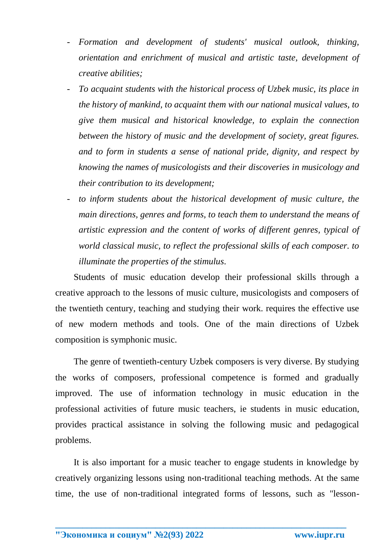- *Formation and development of students' musical outlook, thinking, orientation and enrichment of musical and artistic taste, development of creative abilities;*
- *To acquaint students with the historical process of Uzbek music, its place in the history of mankind, to acquaint them with our national musical values, to give them musical and historical knowledge, to explain the connection between the history of music and the development of society, great figures. and to form in students a sense of national pride, dignity, and respect by knowing the names of musicologists and their discoveries in musicology and their contribution to its development;*
- to inform students about the historical development of music culture, the *main directions, genres and forms, to teach them to understand the means of artistic expression and the content of works of different genres, typical of world classical music, to reflect the professional skills of each composer. to illuminate the properties of the stimulus.*

Students of music education develop their professional skills through a creative approach to the lessons of music culture, musicologists and composers of the twentieth century, teaching and studying their work. requires the effective use of new modern methods and tools. One of the main directions of Uzbek composition is symphonic music.

The genre of twentieth-century Uzbek composers is very diverse. By studying the works of composers, professional competence is formed and gradually improved. The use of information technology in music education in the professional activities of future music teachers, ie students in music education, provides practical assistance in solving the following music and pedagogical problems.

It is also important for a music teacher to engage students in knowledge by creatively organizing lessons using non-traditional teaching methods. At the same time, the use of non-traditional integrated forms of lessons, such as "lesson-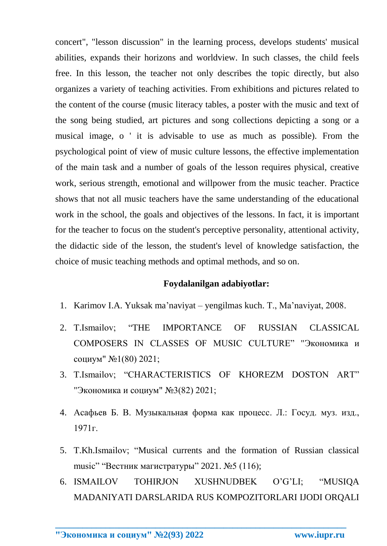concert", "lesson discussion" in the learning process, develops students' musical abilities, expands their horizons and worldview. In such classes, the child feels free. In this lesson, the teacher not only describes the topic directly, but also organizes a variety of teaching activities. From exhibitions and pictures related to the content of the course (music literacy tables, a poster with the music and text of the song being studied, art pictures and song collections depicting a song or a musical image, o ' it is advisable to use as much as possible). From the psychological point of view of music culture lessons, the effective implementation of the main task and a number of goals of the lesson requires physical, creative work, serious strength, emotional and willpower from the music teacher. Practice shows that not all music teachers have the same understanding of the educational work in the school, the goals and objectives of the lessons. In fact, it is important for the teacher to focus on the student's perceptive personality, attentional activity, the didactic side of the lesson, the student's level of knowledge satisfaction, the choice of music teaching methods and optimal methods, and so on.

## **Foydalanilgan adabiyotlar:**

- 1. Karimov I.A. Yuksak ma'naviyat yengilmas kuch. T., Ma'naviyat, 2008.
- 2. T.Ismailov; "THE IMPORTANCE OF RUSSIAN CLASSICAL COMPOSERS IN CLASSES OF MUSIC CULTURE" "Экономика и социум" №1(80) 2021;
- 3. T.Ismailov; "CHARACTERISTICS OF KHOREZM DOSTON ART" "Экономика и социум" №3(82) 2021;
- 4. Асафьев Б. В. Музыкальная форма как процесс. Л.: Госуд. муз. изд., 1971г.
- 5. T.Kh.Ismailov; "Musical currents and the formation of Russian classical music" "Вестник магистратуры" 2021. №5 (116);
- 6. ISMAILOV TOHIRJON XUSHNUDBEK O'G'LI; "MUSIQA MADANIYATI DARSLARIDA RUS KOMPOZITORLARI IJODI ORQALI